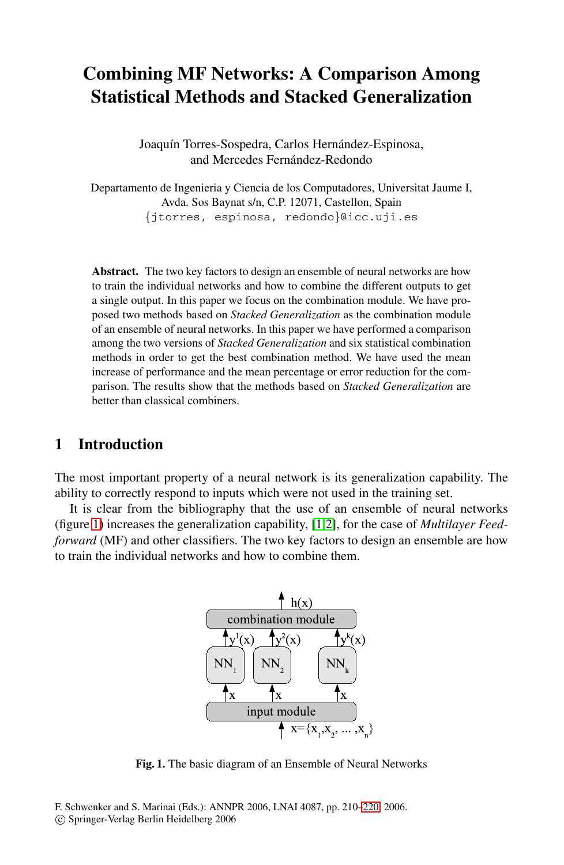# **Combining MF Networks: A Comparison Among Statistical Methods and Stacked Generalization**

Joaquín Torres-Sospedra, Carlos Hernández-Espinosa, and Mercedes Fernández-Redondo

Departamento de Ingenieria y Ciencia de los Computadores, Universitat Jaume I, Avda. Sos Baynat s/n, C.P. 12071, Castellon, Spain *{*jtorres, espinosa, redondo*}*@icc.uji.es

**Abstract.** The two key factors to design an ensemble of neural networks are how to train the individual networks and how to combine the different outputs to get a single output. In this paper we focus on the combination module. We have proposed two methods based on *Stacked Generalization* as the combination module of an ensemble of neural networks. In this paper we have performed a comparison among the two versions of *Stacked Generalization* and six statistical combination methods in order to get the best combination method. We have used the mean increase of performance and the mean percentage or error reduction for the comparison. The results show that the methods based on *Stacked Generalization* are better than classical co[mbi](#page-10-0)[ne](#page-10-1)rs.

## **1 Introduction**

The most important property of a neural network is its generalization capability. The ability to correctly respond to inputs which were not used in the training set.

It is clear from the bibliography that the use of an ensemble of neural networks (figure 1) increases the generalization capability, [1,2], for the case of *Multilayer Feedforward* (MF) and other classifiers. The two key factors to design an ensemble are how to train the individual networks and how to combine them.



**Fig. 1.** The basic diagram of an Ensemble of Neural Networks

F. Schwenker and S. Marinai (Eds.): ANNPR 2006, LNAI 4087, pp. 210–220, 2006. -c Springer-Verlag Berlin Heidelberg 2006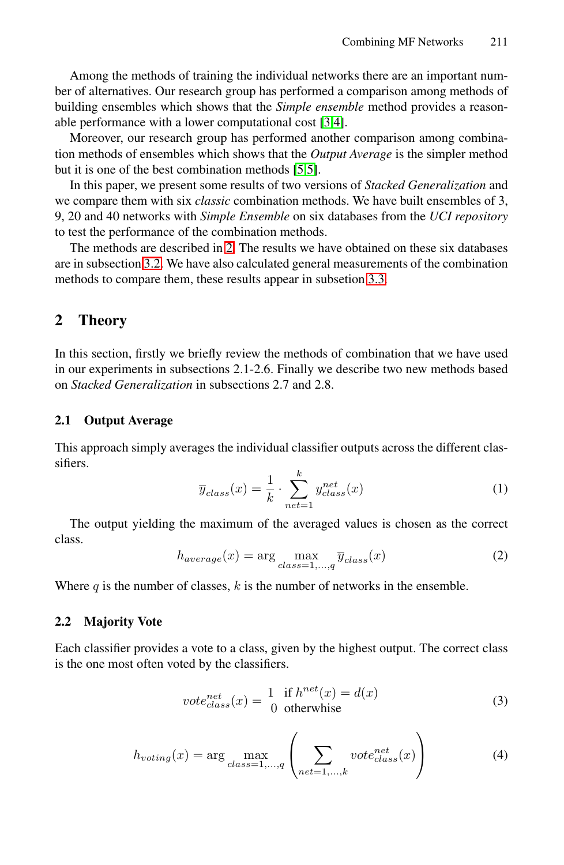Among the methods of training the individual networks there are an important number of alternatives. Our research group has performed a comparison among methods of building ensembles which shows that the *Simple ensemble* method provides a reasonable perfor[ma](#page-1-0)nce with a lower computational cost [3,4].

Moreover, our research group has performed another comparison among combination methods of ensembles which sho[ws th](#page-5-0)at the *Output Average* is the simpler method but it is one of the best combination methods [5,5].

<span id="page-1-0"></span>In this paper, we present some results of two versions of *Stacked Generalization* and we compare them with six *classic* combination methods. We have built ensembles of 3, 9, 20 and 40 networks with *Simple Ensemble* on six databases from the *UCI repository* to test the performance of the combination methods.

The methods are described in 2. The results we have obtained on these six databases are in subsection 3.2. We have also calculated general measurements of the combination methods to compare them, these results appear in subsetion 3.3.

## **2 Theory**

In this section, firstly we briefly review the methods of combination that we have used in our experiments in subsections 2.1-2.6. Finally we describe two new methods based on *Stacked Generalization* in subsections 2.7 and 2.8.

## **2.1 Output Average**

This approach simply averages the individual classifier outputs across the different classifiers.

$$
\overline{y}_{class}(x) = \frac{1}{k} \cdot \sum_{net=1}^{k} y_{class}^{net}(x)
$$
\n(1)

The output yielding the maximum of the averaged values is chosen as the correct class.

$$
h_{average}(x) = \arg\max_{class=1,\dots,q} \overline{y}_{class}(x)
$$
 (2)

Where  $q$  is the number of classes,  $k$  is the number of networks in the ensemble.

#### **2.2 Majority Vote**

Each classifier provides a vote to a class, given by the highest output. The correct class is the one most often voted by the classifiers.

$$
vote_{class}^{net}(x) = \frac{1}{0} \frac{\text{if } h^{net}(x) = d(x)}{\text{otherwise}}
$$
 (3)

$$
h_{voting}(x) = \arg\max_{class=1,\dots,q} \left( \sum_{net=1,\dots,k} vote_{class}^{net}(x) \right)
$$
 (4)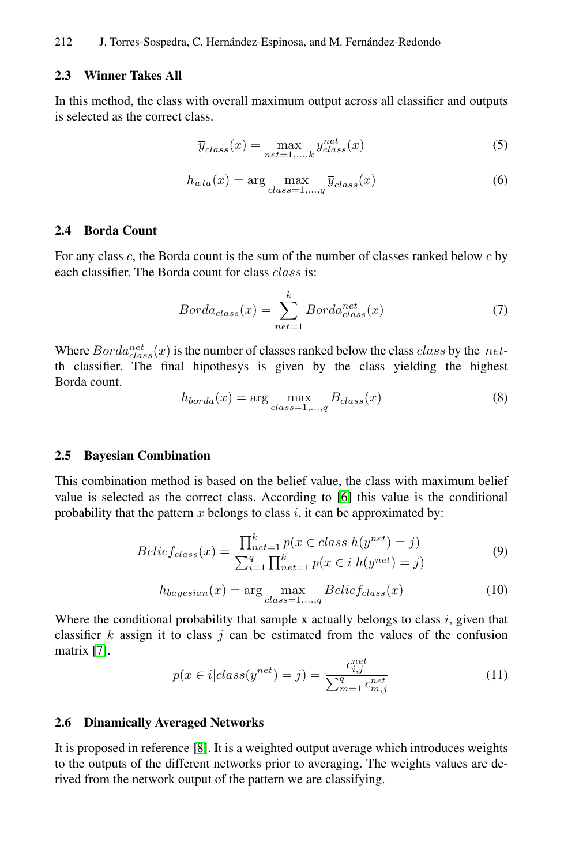#### **2.3 Winner Takes All**

In this method, the class with overall maximum output across all classifier and outputs is selected as the correct class.

$$
\overline{y}_{class}(x) = \max_{net=1,\dots,k} y_{class}^{net}(x)
$$
\n(5)

$$
h_{wta}(x) = \arg\max_{class=1,\dots,q} \overline{y}_{class}(x)
$$
 (6)

#### **2.4 Borda Count**

For any class *c*, the Borda count is the sum of the number of classes ranked below *c* by each classifier. The Borda count for class *class* is:

$$
Borda_{class}(x) = \sum_{net=1}^{k} Borda_{class}^{net}(x)
$$
 (7)

Where  $Borda_{class}^{net}(x)$  is the number of classes ranked below the class *class* by the *net*-<br>th classifier. The final hipoth[esy](#page-10-2)s is given by the class yielding the highest Borda count.

$$
h_{borda}(x) = \arg\max_{class=1,\dots,q} B_{class}(x)
$$
\n(8)

#### **2.5 Bayesian Combination**

This combination method is based on the belief value, the class with maximum belief value is selected as the correct class. According to [6] this value is the conditional probability that the pattern *x* belongs to class *i*, it can be approximated by:

$$
Belief_{class}(x) = \frac{\prod_{net=1}^{k} p(x \in class | h(y^{net}) = j)}{\sum_{i=1}^{q} \prod_{net=1}^{k} p(x \in i | h(y^{net}) = j)}
$$
(9)

$$
h_{bayesian}(x) = \arg\max_{class=1,\dots,q} Belief_{class}(x)
$$
 (10)

Wher[e t](#page-10-3)he conditional probability that sample x actually belongs to class *i*, given that classifier  $k$  assign it to class  $j$  can be estimated from the values of the confusion matrix [7].

$$
p(x \in i|class(y^{net}) = j) = \frac{c_{i,j}^{net}}{\sum_{m=1}^{q} c_{m,j}^{net}}
$$
(11)

#### **2.6 Dinamically Averaged Networks**

It is proposed in reference [8]. It is a weighted output average which introduces weights to the outputs of the different networks prior to averaging. The weights values are derived from the network output of the pattern we are classifying.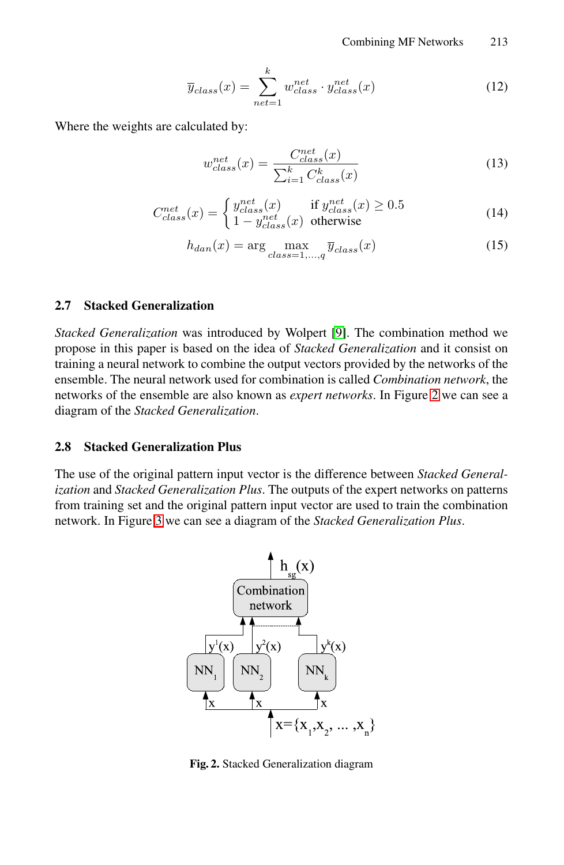Combining MF Networks 213

$$
\overline{y}_{class}(x) = \sum_{net=1}^{k} w_{class}^{net} \cdot y_{class}^{net}(x)
$$
\n(12)

Where the weights are calculated by:

$$
w_{class}^{net}(x) = \frac{C_{class}^{net}(x)}{\sum_{i=1}^{k} C_{class}^{k}(x)}
$$
(13)

$$
C_{class}^{net}(x) = \begin{cases} y_{class}^{net}(x) & \text{if } y_{class}^{net}(x) \ge 0.5\\ 1 - y_{class}^{net}(x) & \text{otherwise} \end{cases}
$$
(14)

$$
h_{dan}(x) = \arg\max_{class=1,\dots,q} \overline{y}_{class}(x)
$$
\n(15)

#### **2.7 Stacked Generalization**

*Stacked Generalization* was introduced by Wolpert [9]. The combination method we propose in this paper is based on the idea of *Stacked Generalization* and it consist on training a neural network to combine the output vectors provided by the networks of the ensemble. The neural network used for combination is called *Combination network*, the [n](#page-4-0)etworks of the ensemble are also known as *expert networks*. In Figure 2 we can see a diagram of the *Stacked Generalization*.

## **2.8 Stacked Generalization Plus**

The use of the original pattern input vector is the difference between *Stacked Generalization* and *Stacked Generalization Plus*. The outputs of the expert networks on patterns from training set and the original pattern input vector are used to train the combination network. In Figure 3 we can see a diagram of the *Stacked Generalization Plus*.



**Fig. 2.** Stacked Generalization diagram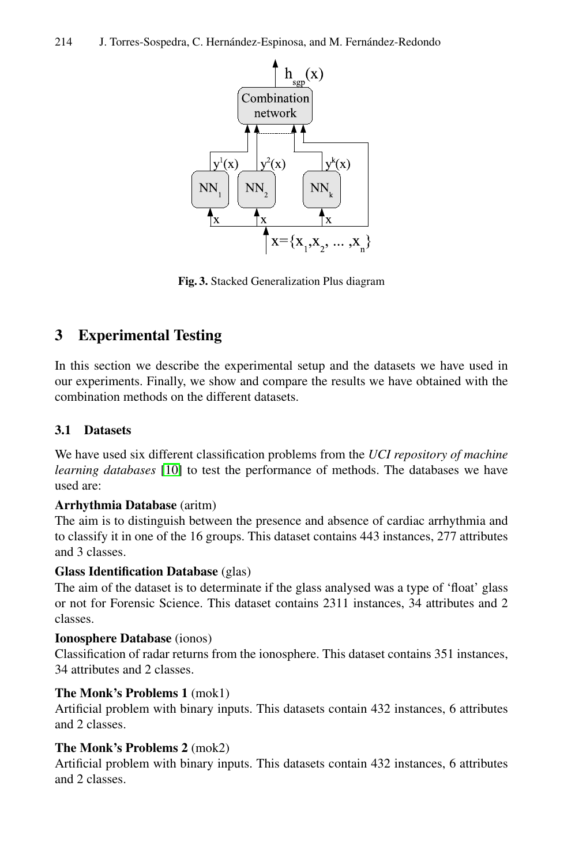<span id="page-4-0"></span>

**Fig. 3.** Stacked Generalization Plus diagram

## **[3](#page-10-5) Experimental Testing**

In this section we describe the experimental setup and the datasets we have used in our experiments. Finally, we show and compare the results we have obtained with the combination methods on the different datasets.

#### **3.1 Datasets**

We have used six different classification problems from the *UCI repository of machine learning databases* [10] to test the performance of methods. The databases we have used are:

#### **Arrhythmia Database** (aritm)

The aim is to distinguish between the presence and absence of cardiac arrhythmia and to classify it in one of the 16 groups. This dataset contains 443 instances, 277 attributes and 3 classes.

#### **Glass Identification Database** (glas)

The aim of the dataset is to determinate if the glass analysed was a type of 'float' glass or not for Forensic Science. This dataset contains 2311 instances, 34 attributes and 2 classes.

#### **Ionosphere Database** (ionos)

Classification of radar returns from the ionosphere. This dataset contains 351 instances, 34 attributes and 2 classes.

## **The Monk's Problems 1** (mok1)

Artificial problem with binary inputs. This datasets contain 432 instances, 6 attributes and 2 classes.

#### **The Monk's Problems 2** (mok2)

Artificial problem with binary inputs. This datasets contain 432 instances, 6 attributes and 2 classes.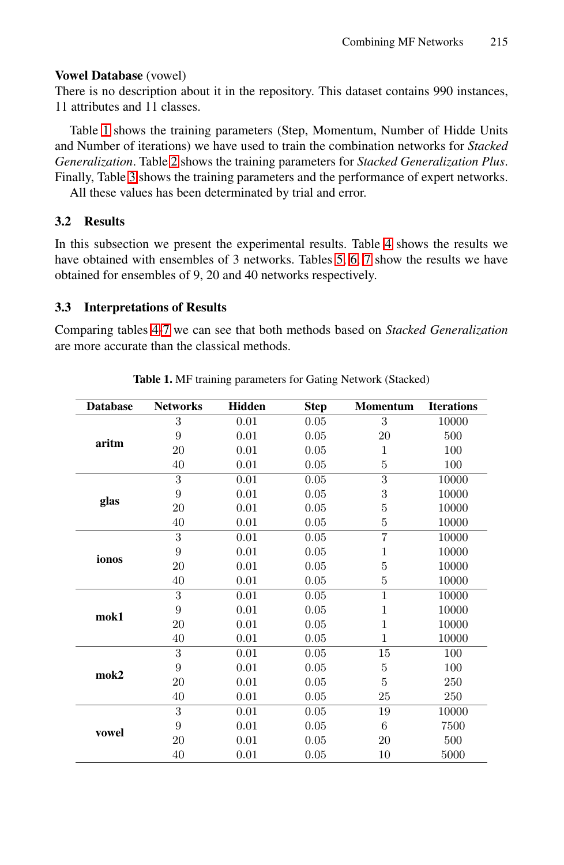#### **Vowel Database** (vowel)

There is no description about it in the repository. This dataset contains 990 instances, 11 attributes and 11 classes.

<span id="page-5-0"></span>Table 1 shows the training parame[ter](#page-8-0)s [\(S](#page-7-0)tep, Momentum, Number of Hidde Units and Number of iterations) we ha[ve](#page-7-1) [us](#page-7-2)ed to train the combination networks for *Stacked Generalization*. Table 2 shows the training parameters for *Stacked Generalization Plus*. Finally, Table 3 shows the training parameters and the performance of expert networks.

All these values has been determinated by trial and error.

#### **3.2 Results**

In this subsection we present the experimental results. Table 4 shows the results we have obtained with ensembles of 3 networks. Tables 5, 6, 7 show the results we have obtained for ensembles of 9, 20 and 40 networks respectively.

#### **3.3 Interpretations of Results**

Comparing tables 4-7 we can see that both methods based on *Stacked Generalization* are more accurate than the classical methods.

| <b>Database</b> | <b>Networks</b> | <b>Hidden</b> | <b>Step</b> | <b>Momentum</b> | <b>Iterations</b> |
|-----------------|-----------------|---------------|-------------|-----------------|-------------------|
|                 | 3               | 0.01          | 0.05        | 3               | 10000             |
| aritm           | 9               | 0.01          | 0.05        | 20              | 500               |
|                 | 20              | 0.01          | 0.05        | $\mathbf{1}$    | 100               |
|                 | 40              | 0.01          | 0.05        | 5               | 100               |
|                 | 3               | 0.01          | 0.05        | 3               | 10000             |
|                 | 9               | 0.01          | 0.05        | 3               | 10000             |
| glas            | 20              | 0.01          | 0.05        | $\overline{5}$  | 10000             |
|                 | 40              | 0.01          | 0.05        | $\overline{5}$  | 10000             |
|                 | 3               | 0.01          | 0.05        | $\overline{7}$  | 10000             |
| ionos           | 9               | 0.01          | 0.05        | $\mathbf{1}$    | 10000             |
|                 | 20              | 0.01          | 0.05        | $\overline{5}$  | 10000             |
|                 | 40              | 0.01          | 0.05        | 5               | 10000             |
|                 | 3               | 0.01          | 0.05        | $\mathbf{1}$    | 10000             |
| mok1            | 9               | 0.01          | 0.05        | $\mathbf{1}$    | 10000             |
|                 | 20              | 0.01          | 0.05        | $\mathbf{1}$    | 10000             |
|                 | 40              | 0.01          | 0.05        | $\mathbf{1}$    | 10000             |
|                 | 3               | 0.01          | 0.05        | 15              | 100               |
| mok2            | 9               | 0.01          | 0.05        | $\bf 5$         | 100               |
|                 | 20              | 0.01          | 0.05        | 5               | 250               |
|                 | 40              | 0.01          | 0.05        | 25              | 250               |
|                 | 3               | 0.01          | 0.05        | 19              | 10000             |
| vowel           | 9               | 0.01          | 0.05        | 6               | 7500              |
|                 | <b>20</b>       | 0.01          | 0.05        | 20              | 500               |
|                 | 40              | 0.01          | 0.05        | 10              | 5000              |

**Table 1.** MF training parameters for Gating Network (Stacked)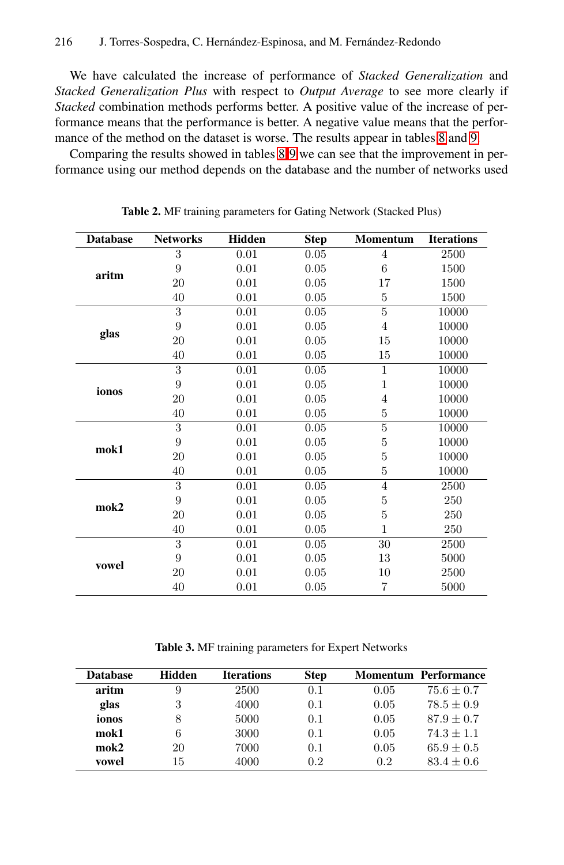#### 216 J. Torres-Sosp[ed](#page-8-1)[ra,](#page-8-2) C. Hernández-Espinosa, and M. Fernández-Redondo

We have calculated the increase of performance of *Stacked Generalization* and *Stacked Generalization Plus* with respect to *Output Average* to see more clearly if *Stacked* combination methods performs better. A positive value of the increase of performance means that the performance is better. A negative value means that the performance of the method on the dataset is worse. The results appear in tables 8 and 9.

Comparing the results showed in tables 8-9 we can see that the improvement in performance using our method depends on the database and the number of networks used

| <b>Database</b> | <b>Networks</b> | <b>Hidden</b> | <b>Step</b> | <b>Momentum</b> | <b>Iterations</b> |
|-----------------|-----------------|---------------|-------------|-----------------|-------------------|
|                 | 3               | 0.01          | 0.05        | 4               | 2500              |
| aritm           | 9               | 0.01          | 0.05        | 6               | 1500              |
|                 | 20              | 0.01          | 0.05        | 17              | 1500              |
|                 | 40              | 0.01          | 0.05        | 5               | 1500              |
|                 | 3               | 0.01          | 0.05        | 5               | 10000             |
|                 | 9               | 0.01          | 0.05        | 4               | 10000             |
| glas            | 20              | 0.01          | 0.05        | 15              | 10000             |
|                 | 40              | 0.01          | 0.05        | 15              | 10000             |
|                 | 3               | 0.01          | 0.05        | $\mathbf{1}$    | 10000             |
|                 | 9               | 0.01          | 0.05        | $\mathbf{1}$    | 10000             |
| ionos           | 20              | 0.01          | 0.05        | $\overline{4}$  | 10000             |
|                 | 40              | 0.01          | 0.05        | 5               | 10000             |
|                 | 3               | 0.01          | 0.05        | 5               | 10000             |
| mok1            | 9               | 0.01          | 0.05        | $\bf 5$         | 10000             |
|                 | 20              | 0.01          | 0.05        | $\overline{5}$  | 10000             |
|                 | 40              | 0.01          | 0.05        | 5               | 10000             |
|                 | 3               | 0.01          | 0.05        | 4               | 2500              |
| mok2            | 9               | 0.01          | 0.05        | 5               | 250               |
|                 | 20              | 0.01          | 0.05        | 5               | 250               |
|                 | 40              | 0.01          | 0.05        | $\mathbf{1}$    | 250               |
|                 | 3               | 0.01          | 0.05        | 30              | 2500              |
| vowel           | 9               | 0.01          | 0.05        | 13              | 5000              |
|                 | 20              | 0.01          | 0.05        | 10              | 2500              |
|                 | 40              | 0.01          | 0.05        | $\overline{7}$  | 5000              |

**Table 2.** MF training parameters for Gating Network (Stacked Plus)

**Table 3.** MF training parameters for Expert Networks

| <b>Database</b> | Hidden | <b>Iterations</b> | <b>Step</b> |      | <b>Momentum Performance</b> |
|-----------------|--------|-------------------|-------------|------|-----------------------------|
| aritm           | 9      | 2500              | 0.1         | 0.05 | $75.6 \pm 0.7$              |
| glas            | 3      | 4000              | 0.1         | 0.05 | $78.5 + 0.9$                |
| ionos           | 8      | 5000              | 0.1         | 0.05 | $87.9 + 0.7$                |
| mok1            | 6      | 3000              | 0.1         | 0.05 | $74.3 + 1.1$                |
| $m$ ok $2$      | 20     | 7000              | 0.1         | 0.05 | $65.9 + 0.5$                |
| vowel           | 15     | 4000              | 0.2         | 0.2  | $83.4 + 0.6$                |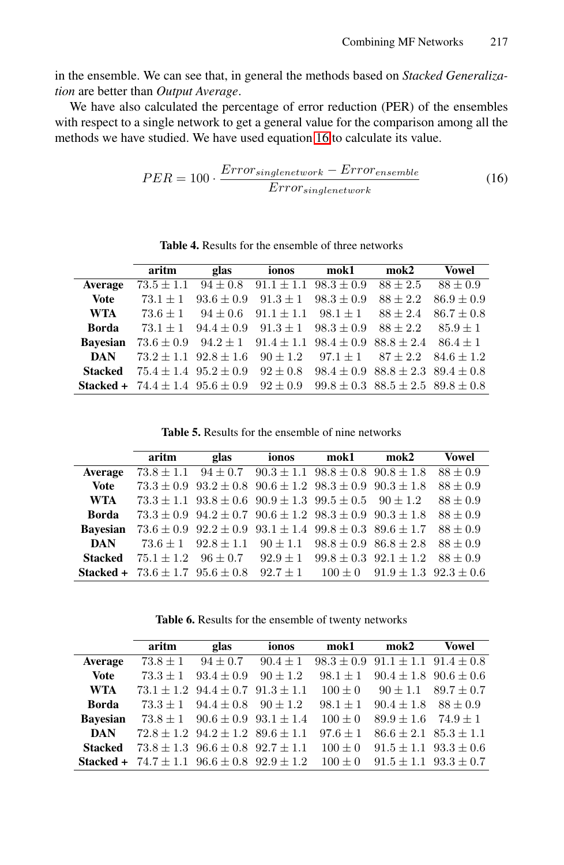in the ensemble. We can see that, in general the methods based on *Stacked Generalization* are better than *Output Average*.

<span id="page-7-0"></span>We have also calculated the percentage of error reduction (PER) of the ensembles with respect to a single network to get a general value for the comparison among all the methods we have studied. We have used equation 16 to calculate its value.

$$
PER = 100 \cdot \frac{Error_{singletonetwork} - Error_{ensemble}}{Error_{singletonetwork}}
$$
(16)

**Table 4.** Results for the ensemble of three networks

<span id="page-7-1"></span>

|                 | aritm                                                       | glas                          | ionos                       | mok1                                         | $m$ ok $2$                                   | Vowel          |
|-----------------|-------------------------------------------------------------|-------------------------------|-----------------------------|----------------------------------------------|----------------------------------------------|----------------|
| Average         | $73.5 \pm 1.1$                                              | $94 \pm 0.8$                  | $91.1 \pm 1.1$              | $98.3 \pm 0.9$                               | $88 + 2.5$                                   | $88 \pm 0.9$   |
| <b>Vote</b>     | $73.1 + 1$                                                  | $93.6 \pm 0.9$                | $91.3 \pm 1$ $98.3 \pm 0.9$ |                                              | $88 + 2.2$                                   | $86.9 \pm 0.9$ |
| <b>WTA</b>      | $73.6 + 1$                                                  | $94 + 0.6$                    | $91.1 + 1.1$                | $98.1 + 1$                                   | $88 \pm 2.4$                                 | $86.7 \pm 0.8$ |
| <b>Borda</b>    | $73.1 + 1$                                                  | $94.4 + 0.9$                  | $91.3 \pm 1$ $98.3 \pm 0.9$ |                                              | $88 + 2.2$                                   | $85.9 + 1$     |
| <b>Bavesian</b> | $73.6 \pm 0.9$                                              | $94.2 \pm 1$                  |                             | $91.4 \pm 1.1$ $98.4 \pm 0.9$ $88.8 \pm 2.4$ |                                              | $86.4 + 1$     |
| <b>DAN</b>      |                                                             | $73.2 \pm 1.1$ $92.8 \pm 1.6$ | $90 \pm 1.2$                | $97.1 + 1$                                   | $87 \pm 2.2$                                 | $84.6 + 1.2$   |
| Stacked         |                                                             | $75.4 + 1.4$ $95.2 + 0.9$     | $92 + 0.8$                  |                                              | $98.4 \pm 0.9$ $88.8 \pm 2.3$ $89.4 \pm 0.8$ |                |
|                 | <b>Stacked +</b> $74.4 \pm 1.4$ $95.6 \pm 0.9$ $92 \pm 0.9$ |                               |                             | $99.8 \pm 0.3$ $88.5 \pm 2.5$ $89.8 \pm 0.8$ |                                              |                |

**Table 5.** Results for the ensemble of nine networks

<span id="page-7-2"></span>

|                 | aritm                                                                                                 | glas | ionos                                                                      | mok1 | $m$ ok $2$ | Vowel        |
|-----------------|-------------------------------------------------------------------------------------------------------|------|----------------------------------------------------------------------------|------|------------|--------------|
| Average         | $73.8 \pm 1.1$                                                                                        |      | $94 \pm 0.7$ $90.3 \pm 1.1$ $98.8 \pm 0.8$ $90.8 \pm 1.8$                  |      |            | $88 \pm 0.9$ |
| <b>Vote</b>     |                                                                                                       |      | $73.3 \pm 0.9$ $93.2 \pm 0.8$ $90.6 \pm 1.2$ $98.3 \pm 0.9$ $90.3 \pm 1.8$ |      |            | $88 \pm 0.9$ |
| <b>WTA</b>      |                                                                                                       |      | $73.3 \pm 1.1$ $93.8 \pm 0.6$ $90.9 \pm 1.3$ $99.5 \pm 0.5$ $90 \pm 1.2$   |      |            | $88 \pm 0.9$ |
| <b>Borda</b>    |                                                                                                       |      | $73.3 \pm 0.9$ $94.2 \pm 0.7$ $90.6 \pm 1.2$ $98.3 \pm 0.9$ $90.3 \pm 1.8$ |      |            | $88 + 0.9$   |
| <b>Bavesian</b> |                                                                                                       |      | $73.6 \pm 0.9$ $92.2 \pm 0.9$ $93.1 \pm 1.4$ $99.8 \pm 0.3$ $89.6 \pm 1.7$ |      |            | $88 + 0.9$   |
| <b>DAN</b>      |                                                                                                       |      | $73.6 \pm 1$ $92.8 \pm 1.1$ $90 \pm 1.1$ $98.8 \pm 0.9$ $86.8 \pm 2.8$     |      |            | $88 + 0.9$   |
| <b>Stacked</b>  |                                                                                                       |      | $75.1 \pm 1.2$ $96 \pm 0.7$ $92.9 \pm 1$ $99.8 \pm 0.3$ $92.1 \pm 1.2$     |      |            | $88 + 0.9$   |
|                 | <b>Stacked</b> + $73.6 \pm 1.7$ $95.6 \pm 0.8$ $92.7 \pm 1$ $100 \pm 0$ $91.9 \pm 1.3$ $92.3 \pm 0.6$ |      |                                                                            |      |            |              |

**Table 6.** Results for the ensemble of twenty networks

|                 | aritm                                        | glas                                         | ionos        | mok1        | $m$ ok $2$                                   | Vowel                         |
|-----------------|----------------------------------------------|----------------------------------------------|--------------|-------------|----------------------------------------------|-------------------------------|
| Average         | $73.8 \pm 1$                                 | $94 \pm 0.7$                                 | $90.4 \pm 1$ |             | $98.3 \pm 0.9$ $91.1 \pm 1.1$ $91.4 \pm 0.8$ |                               |
| <b>Vote</b>     | $73.3 + 1$                                   | $93.4 \pm 0.9$                               | $90 + 1.2$   | $98.1 + 1$  | $90.4 \pm 1.8$ $90.6 \pm 0.6$                |                               |
| <b>WTA</b>      |                                              | $73.1 \pm 1.2$ $94.4 \pm 0.7$ $91.3 \pm 1.1$ |              | $100 + 0$   | $90 + 1.1$                                   | $89.7 \pm 0.7$                |
| <b>Borda</b>    |                                              | $73.3 + 1$ $94.4 + 0.8$ $90 + 1.2$           |              | $98.1 + 1$  | $90.4 + 1.8$                                 | $88 + 0.9$                    |
| <b>Bavesian</b> | $73.8 + 1$                                   | $90.6 \pm 0.9$ $93.1 \pm 1.4$                |              | $100 + 0$   | $89.9 + 1.6$                                 | $74.9 + 1$                    |
| <b>DAN</b>      |                                              | $72.8 \pm 1.2$ $94.2 \pm 1.2$ $89.6 \pm 1.1$ |              | $97.6 + 1$  | $86.6 \pm 2.1$ $85.3 \pm 1.1$                |                               |
| <b>Stacked</b>  |                                              | $73.8 \pm 1.3$ $96.6 \pm 0.8$ $92.7 \pm 1.1$ |              | $100 + 0$   | $91.5 \pm 1.1$ $93.3 \pm 0.6$                |                               |
| Stacked +       | $74.7 \pm 1.1$ $96.6 \pm 0.8$ $92.9 \pm 1.2$ |                                              |              | $100 \pm 0$ |                                              | $91.5 \pm 1.1$ $93.3 \pm 0.7$ |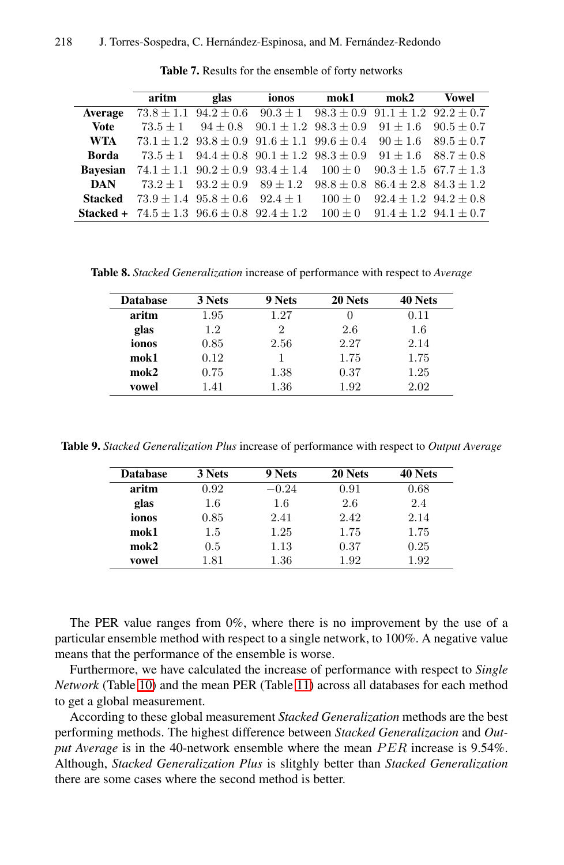#### <span id="page-8-1"></span><span id="page-8-0"></span>218 J. Torres-Sospedra, C. Hernández-Espinosa, and M. Fernández-Redondo

|                 | aritm                                                         | glas | ionos                                                                                   | mok1 mok2 |                                           | Vowel                       |
|-----------------|---------------------------------------------------------------|------|-----------------------------------------------------------------------------------------|-----------|-------------------------------------------|-----------------------------|
| Average         |                                                               |      | $73.8 \pm 1.1$ $94.2 \pm 0.6$ $90.3 \pm 1$ $98.3 \pm 0.9$ $91.1 \pm 1.2$ $92.2 \pm 0.7$ |           |                                           |                             |
| <b>Vote</b>     |                                                               |      | $73.5 \pm 1$ $94 \pm 0.8$ $90.1 \pm 1.2$ $98.3 \pm 0.9$                                 |           | $91 + 1.6$                                | $90.5 \pm 0.7$              |
| <b>WTA</b>      |                                                               |      | $73.1 \pm 1.2$ $93.8 \pm 0.9$ $91.6 \pm 1.1$ $99.6 \pm 0.4$                             |           |                                           | $90 \pm 1.6$ $89.5 \pm 0.7$ |
| <b>Borda</b>    |                                                               |      | $73.5 \pm 1$ $94.4 \pm 0.8$ $90.1 \pm 1.2$ $98.3 \pm 0.9$                               |           |                                           | $91 \pm 1.6$ $88.7 \pm 0.8$ |
| <b>Bavesian</b> |                                                               |      | $74.1 \pm 1.1$ $90.2 \pm 0.9$ $93.4 \pm 1.4$ $100 \pm 0$                                |           | $90.3 \pm 1.5$ 67.7 $\pm 1.3$             |                             |
| <b>DAN</b>      |                                                               |      | $73.2 \pm 1$ $93.2 \pm 0.9$ $89 \pm 1.2$ $98.8 \pm 0.8$ $86.4 \pm 2.8$ $84.3 \pm 1.2$   |           |                                           |                             |
| <b>Stacked</b>  |                                                               |      | $73.9 \pm 1.4$ $95.8 \pm 0.6$ $92.4 \pm 1$                                              | $100 + 0$ | $92.4 \pm 1.2$ $94.2 \pm 0.8$             |                             |
|                 | <b>Stacked +</b> $74.5 \pm 1.3$ $96.6 \pm 0.8$ $92.4 \pm 1.2$ |      |                                                                                         |           | $100 \pm 0$ $91.4 \pm 1.2$ $94.1 \pm 0.7$ |                             |

**Table 7.** Results for the ensemble of forty networks

<span id="page-8-2"></span>**Table 8.** *Stacked Generalization* increase of performance with respect to *Average*

| <b>Database</b> | 3 Nets | 9 Nets | 20 Nets | 40 Nets |
|-----------------|--------|--------|---------|---------|
| aritm           | 1.95   | 1.27   |         | 0.11    |
| glas            | 1.2    |        | 2.6     | $1.6\,$ |
| ionos           | 0.85   | 2.56   | 2.27    | 2.14    |
| mok1            | 0.12   |        | 1.75    | 1.75    |
| $m$ ok $2$      | 0.75   | 1.38   | 0.37    | 1.25    |
| vowel           | 1.41   | 1.36   | 1.92    | 2.02    |

**Table 9.** *Stacked Generalization Plus* increase of performance with respect to *Output Average*

| <b>Database</b> | 3 Nets  | 9 Nets  | 20 Nets | 40 Nets |
|-----------------|---------|---------|---------|---------|
| aritm           | 0.92    | $-0.24$ | 0.91    | 0.68    |
| glas            | 1.6     | 1.6     | 2.6     | 2.4     |
| ionos           | 0.85    | 2.41    | 2.42    | 2.14    |
| mok1            | $1.5\,$ | 1.25    | 1.75    | 1.75    |
| $m$ ok $2$      | 0.5     | 1.13    | 0.37    | 0.25    |
| vowel           | 1.81    | 1.36    | 1.92    | 1.92    |

The PER value ranges from 0%, where there is no improvement by the use of a particular ensemble method with respect to a single network, to 100%. A negative value means that the performance of the ensemble is worse.

Furthermore, we have calculated the increase of performance with respect to *Single Network* (Table 10) and the mean PER (Table 11) across all databases for each method to get a global measurement.

According to these global measurement *Stacked Generalization* methods are the best performing methods. The highest difference between *Stacked Generalizacion* and *Output Average* is in the 40-network ensemble where the mean *PER* increase is 9.54%. Although, *Stacked Generalization Plus* is slitghly better than *Stacked Generalization* there are some cases where the second method is better.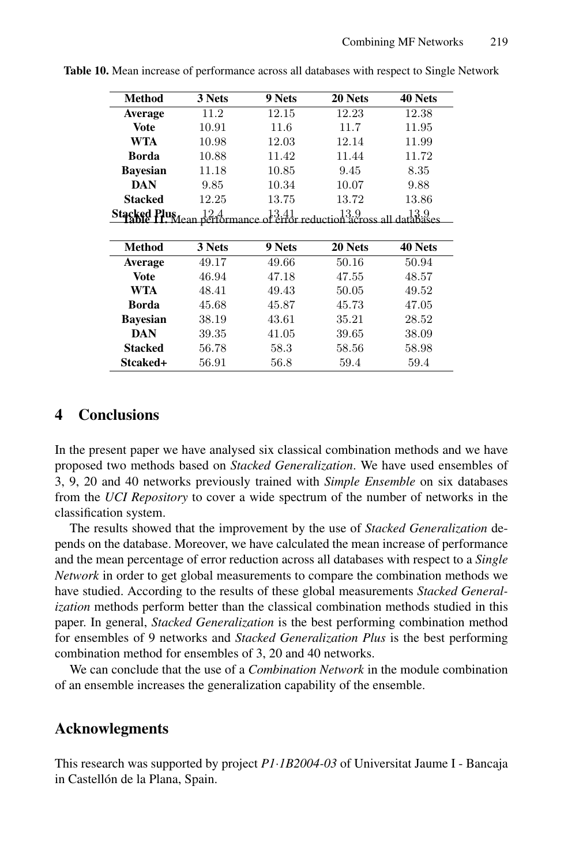| <b>Method</b>       | 3 Nets                   | 9 Nets | 20 Nets       | 40 Nets |
|---------------------|--------------------------|--------|---------------|---------|
| <b>Average</b>      | 11.2                     | 12.15  | 12.23         | 12.38   |
| Vote                | 10.91                    | 11.6   | 11.7          | 11.95   |
| <b>WTA</b>          | 10.98                    | 12.03  | 12.14         | 11.99   |
| <b>Borda</b>        | 10.88                    | 11.42  | 11.44         | 11.72   |
| <b>Bayesian</b>     | 11.18                    | 10.85  | 9.45          | 8.35    |
| <b>DAN</b>          | 9.85                     | 10.34  | 10.07         | 9.88    |
| <b>Stacked</b>      | 12.25                    | 13.75  | 13.72         | 13.86   |
| <b>Stacked Plus</b> | $\frac{12.4}{\text{ean}$ | 13.41  | reduction acr | 3.9     |
| Method              | 3 Nets                   | 9 Nets | 20 Nets       | 40 Nets |
| <b>Average</b>      | 49.17                    | 49.66  | 50.16         | 50.94   |
| Vote                | 46.94                    | 47.18  | 47.55         | 48.57   |

**WTA** 48*.*41 49*.*43 50*.*05 49*.*52 **Borda** 45*.*68 45*.*87 45*.*73 47*.*05 **Bayesian** 38*.*19 43*.*61 35*.*21 28*.*52 **DAN** 39*.*35 41*.*05 39*.*65 38*.*09 **Stacked** 56*.*78 58*.*3 58*.*56 58*.*98 **Stcaked+** 56*.*91 56*.*8 59*.*4 59*.*4

<span id="page-9-0"></span>**Table 10.** Mean increase of performance across all databases with respect to Single Network

## **4 Conclusions**

In the present paper we have analysed six classical combination methods and we have proposed two methods based on *Stacked Generalization*. We have used ensembles of 3, 9, 20 and 40 networks previously trained with *Simple Ensemble* on six databases from the *UCI Repository* to cover a wide spectrum of the number of networks in the classification system.

The results showed that the improvement by the use of *Stacked Generalization* depends on the database. Moreover, we have calculated the mean increase of performance and the mean percentage of error reduction across all databases with respect to a *Single Network* in order to get global measurements to compare the combination methods we have studied. According to the results of these global measurements *Stacked Generalization* methods perform better than the classical combination methods studied in this paper. In general, *Stacked Generalization* is the best performing combination method for ensembles of 9 networks and *Stacked Generalization Plus* is the best performing combination method for ensembles of 3, 20 and 40 networks.

We can conclude that the use of a *Combination Network* in the module combination of an ensemble increases the generalization capability of the ensemble.

## **Acknowlegments**

This research was supported by project *P1*·*1B2004-03* of Universitat Jaume I - Bancaja in Castellón de la Plana, Spain.